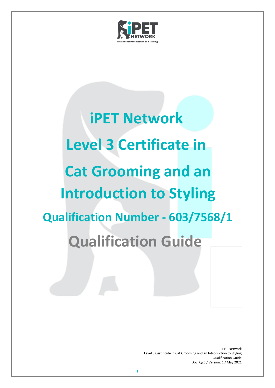

# **iPET Network Level 3 Certificate in Cat Grooming and an Introduction to Styling Qualification Number - 603/7568/1 Qualification Guide**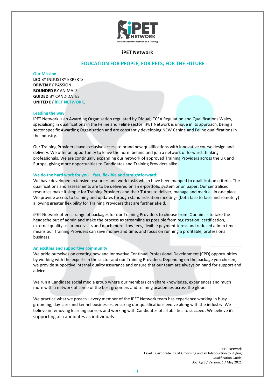

# **iPET Network**

# **EDUCATION FOR PEOPLE, FOR PETS, FOR THE FUTURE**

#### **Our Mission**

**LED** BY INDUSTRY EXPERTS. **DRIVEN** BY PASSION. **BOUNDED** BY ANIMALS. **GUIDED** BY CANDIDATES. **UNITED** BY **iPET NETWORK**.

#### **Leading the way:**

iPET Network is an Awarding Organisation regulated by Ofqual, CCEA Regulation and Qualifications Wales, specialising in qualifications in the Feline and Feline sector. iPET Network is unique in its approach, being a sector specific Awarding Organisation and are constantly developing NEW Canine and Feline qualifications in the industry.

Our Training Providers have exclusive access to brand new qualifications with innovative course design and delivery. We offer an opportunity to leave the norm behind and join a network of forward-thinking professionals. We are continually expanding our network of approved Training Providers across the UK and Europe, giving more opportunities to Candidates and Training Providers alike.

#### **We do the hard work for you – fast, flexible and straightforward:**

We have developed extensive resources and work tasks which have been mapped to qualification criteria. The qualifications and assessments are to be delivered on an e-portfolio system or on paper. Our centralised resources make it simple for Training Providers and their Tutors to deliver, manage and mark all in one place. We provide access to training and updates through standardisation meetings (both face to face and remotely) allowing greater flexibility for Training Providers that are further afield.

iPET Network offers a range of packages for our Training Providers to choose from. Our aim is to take the headache out of admin and make the process as streamline as possible from registration, certification, external quality assurance visits and much more. Low fees, flexible payment terms and reduced admin time means our Training Providers can save money and time, and focus on running a profitable, professional business.

#### **An exciting and supportive community**

We pride ourselves on creating new and innovative Continual Professional Development (CPD) opportunities by working with the experts in the sector and our Training Providers. Depending on the package you chosen, we provide supportive internal quality assurance and ensure that our team are always on hand for support and advice.

We run a Candidate social media group where our members can share knowledge, experiences and much more with a network of some of the best groomers and training academies across the globe.

We practice what we preach - every member of the iPET Network team has experience working in busy grooming, day-care and kennel businesses, ensuring our qualifications evolve along with the industry. We believe in removing learning barriers and working with Candidates of all abilities to succeed. We believe in supporting all candidates as individuals.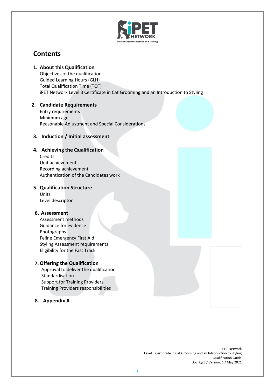

# **Contents**

**1. About this Qualification** 

Objectives of the qualification Guided Learning Hours (GLH) Total Qualification Time (TQT) iPET Network Level 3 Certificate in Cat Grooming and an Introduction to Styling

# **2. Candidate Requirements**

Entry requirements Minimum age Reasonable Adjustment and Special Considerations

# **3. Induction / Initial assessment**

# **4. Achieving the Qualification**

Credits Unit achievement Recording achievement Authentication of the Candidates work

# **5. Qualification Structure**

Units Level descriptor

# **6. Assessment**

Assessment methods Guidance for evidence Photographs Feline Emergency First Aid Styling Assessment requirements Eligibility for the Fast Track

# **7. Offering the Qualification**

Approval to deliver the qualification Standardisation Support for Training Providers Training Providers responsibilities

# **8. Appendix A**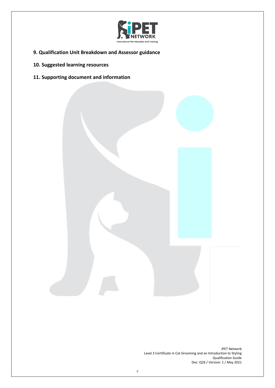

- **9. Qualification Unit Breakdown and Assessor guidance**
- **10. Suggested learning resources**
- **11. Supporting document and information**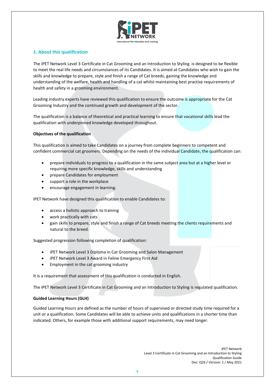

# **1. About this qualification**

The iPET Network Level 3 Certificate in Cat Grooming and an Introduction to Styling is designed to be flexible to meet the real life needs and circumstances of its Candidates. It is aimed at Candidates who wish to gain the skills and knowledge to prepare, style and finish a range of Cat breeds, gaining the knowledge and understanding of the welfare, health and handling of a cat whilst maintaining best practise requirements of health and safety in a grooming environment.

Leading industry experts have reviewed this qualification to ensure the outcome is appropriate for the Cat Grooming Industry and the continued growth and development of the sector.

The qualification is a balance of theoretical and practical learning to ensure that vocational skills lead the qualification with underpinned knowledge developed throughout.

# **Objectives of the qualification**

This qualification is aimed to take Candidates on a journey from complete beginners to competent and confident commercial cat groomers. Depending on the needs of the individual Candidate, the qualification can:

- prepare individuals to progress to a qualification in the same subject area but at a higher level or requiring more specific knowledge, skills and understanding
- prepare Candidates for employment
- support a role in the workplace
- encourage engagement in learning.

iPET Network have designed this qualification to enable Candidates to:

- access a holistic approach to training
- work practically with cats
- gain skills to prepare, style and finish a range of Cat breeds meeting the clients requirements and natural to the breed.

Suggested progression following completion of qualification:

- iPET Network Level 3 Diploma in Cat Grooming and Salon Management
- iPET Network Level 3 Award in Feline Emergency First Aid
- Employment in the cat grooming industry

It is a requirement that assessment of this qualification is conducted in English.

The iPET Network Level 3 Certificate in Cat Grooming and an Introduction to Styling is regulated qualification.

# **Guided Learning Hours (GLH)**

Guided Learning Hours are defined as the number of hours of supervised or directed study time required for a unit or a qualification. Some Candidates will be able to achieve units and qualifications in a shorter time than indicated. Others, for example those with additional support requirements, may need longer.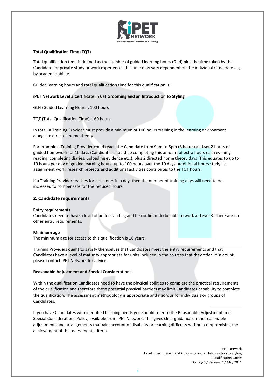

# **Total Qualification Time (TQT)**

Total qualification time is defined as the number of guided learning hours (GLH) plus the time taken by the Candidate for private study or work experience. This time may vary dependent on the individual Candidate e.g. by academic ability.

Guided learning hours and total qualification time for this qualification is:

# **iPET Network Level 3 Certificate in Cat Grooming and an Introduction to Styling**

GLH (Guided Learning Hours): 100 hours

TQT (Total Qualification Time): 160 hours

In total, a Training Provider must provide a minimum of 100 hours training in the learning environment alongside directed home theory.

For example a Training Provider could teach the Candidate from 9am to 5pm (8 hours) and set 2 hours of guided homework for 10 days (Candidates should be completing this amount of extra hours each evening reading, completing diaries, uploading evidence etc.), plus 2 directed home theory days. This equates to up to 10 hours per day of guided learning hours, up to 100 hours over the 10 days. Additional hours study i.e. assignment work, research projects and additional activities contributes to the TQT hours.

If a Training Provider teaches for less hours in a day, then the number of training days will need to be increased to compensate for the reduced hours.

# **2. Candidate requirements**

#### **Entry requirements**

Candidates need to have a level of understanding and be confident to be able to work at Level 3. There are no other entry requirements.

#### **Minimum age**

The minimum age for access to this qualification is 16 years.

Training Providers ought to satisfy themselves that Candidates meet the entry requirements and that Candidates have a level of maturity appropriate for units included in the courses that they offer. If in doubt, please contact iPET Network for advice.

# **Reasonable Adjustment and Special Considerations**

Within the qualification Candidates need to have the physical abilities to complete the practical requirements of the qualification and therefore these potential physical barriers may limit Candidates capability to complete the qualification. The assessment methodology is appropriate and rigorous for individuals or groups of Candidates.

If you have Candidates with identified learning needs you should refer to the Reasonable Adjustment and Special Considerations Policy, available from iPET Network. This gives clear guidance on the reasonable adjustments and arrangements that take account of disability or learning difficulty without compromising the achievement of the assessment criteria.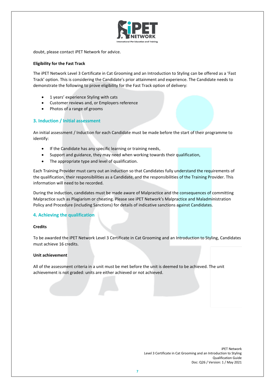

doubt, please contact iPET Network for advice.

#### **Eligibility for the Fast Track**

The iPET Network Level 3 Certificate in Cat Grooming and an Introduction to Styling can be offered as a 'Fast Track' option. This is considering the Candidate's prior attainment and experience. The Candidate needs to demonstrate the following to prove eligibility for the Fast Track option of delivery:

- 1 years' experience Styling with cats
- Customer reviews and, or Employers reference
- Photos of a range of grooms

# **3. Induction / Initial assessment**

An initial assessment / Induction for each Candidate must be made before the start of their programme to identify:

- If the Candidate has any specific learning or training needs,
- Support and guidance, they may need when working towards their qualification,
- The appropriate type and level of qualification.

Each Training Provider must carry out an induction so that Candidates fully understand the requirements of the qualification, their responsibilities as a Candidate, and the responsibilities of the Training Provider. This information will need to be recorded.

During the induction, candidates must be made aware of Malpractice and the consequences of committing Malpractice such as Plagiarism or cheating. Please see iPET Network's Malpractice and Maladministration Policy and Procedure (including Sanctions) for details of indicative sanctions against Candidates.

# **4. Achieving the qualification**

# **Credits**

To be awarded the iPET Network Level 3 Certificate in Cat Grooming and an Introduction to Styling, Candidates must achieve 16 credits.

#### **Unit achievement**

All of the assessment criteria in a unit must be met before the unit is deemed to be achieved. The unit achievement is not graded: units are either achieved or not achieved.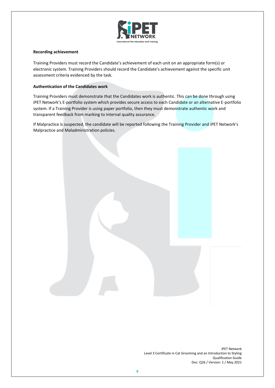

# **Recording achievement**

Training Providers must record the Candidate's achievement of each unit on an appropriate form(s) or electronic system. Training Providers should record the Candidate's achievement against the specific unit assessment criteria evidenced by the task.

# **Authentication of the Candidates work**

Training Providers must demonstrate that the Candidates work is authentic. This can be done through using iPET Network's E-portfolio system which provides secure access to each Candidate or an alternative E-portfolio system. If a Training Provider is using paper portfolio, then they must demonstrate authentic work and transparent feedback from marking to internal quality assurance.

If Malpractice is suspected, the candidate will be reported following the Training Provider and iPET Network's Malpractice and Maladministration policies.

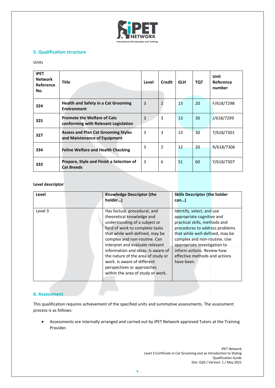

# **5. Qualification structure**

#### Units

| <b>iPET</b><br><b>Network</b><br>Reference<br>No. | <b>Title</b>                                                               | Level | Credit         | <b>GLH</b> | <b>TQT</b> | Unit<br>Reference<br>number |
|---------------------------------------------------|----------------------------------------------------------------------------|-------|----------------|------------|------------|-----------------------------|
| 324                                               | <b>Health and Safety in a Cat Grooming</b><br><b>Environment</b>           | 3     | $\overline{2}$ | 13         | 20         | F/618/7298                  |
| 325                                               | <b>Promote the Welfare of Cats</b><br>conforming with Relevant Legislation | 3     | 3              | 13         | 30         | J/618/7299                  |
| 327                                               | <b>Assess and Plan Cat Grooming Styles</b><br>and Maintenance of Equipment | 3     | 3              | 13         | 30         | T/618/7301                  |
| 334                                               | <b>Feline Welfare and Health Checking</b>                                  | 3     | $\overline{2}$ | 12         | 20         | R/618/7306                  |
| 333                                               | Prepare, Style and Finish a Selection of<br><b>Cat Breeds</b>              | 3     | 6              | 51         | 60         | Y/618/7307                  |

# **Level descriptor**

| Level   | <b>Knowledge Descriptor (the</b><br>holder)                                                                                                                                                                                                                                                                                                                                                                       | <b>Skills Descriptor (the holder</b><br>$can$ )                                                                                                                                                                                                                                                           |
|---------|-------------------------------------------------------------------------------------------------------------------------------------------------------------------------------------------------------------------------------------------------------------------------------------------------------------------------------------------------------------------------------------------------------------------|-----------------------------------------------------------------------------------------------------------------------------------------------------------------------------------------------------------------------------------------------------------------------------------------------------------|
| Level 3 | Has factual, procedural, and<br>theoretical knowledge and<br>understanding of a subject or<br>field of work to complete tasks<br>that while well-defined, may be<br>complex and non-routine. Can<br>interpret and evaluate relevant<br>information and ideas. Is aware of<br>the nature of the area of study or<br>work. Is aware of different<br>perspectives or approaches<br>within the area of study or work. | Identify, select, and use<br>appropriate cognitive and<br>practical skills, methods and<br>procedures to address problems<br>that while well-defined, may be<br>complex and non-routine. Use<br>appropriate investigation to<br>inform actions. Review how<br>effective methods and actions<br>have been. |

# **6. Assessment**

This qualification requires achievement of the specified units and summative assessments. The assessment process is as follows:

• Assessments are internally arranged and carried out by iPET Network approved Tutors at the Training Provider.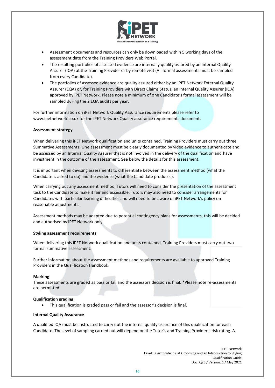

- Assessment documents and resources can only be downloaded within 5 working days of the assessment date from the Training Providers Web Portal.
- The resulting portfolios of assessed evidence are internally quality assured by an Internal Quality Assurer (IQA) at the Training Provider or by remote visit (All formal assessments must be sampled from every Candidate).
- The portfolios of assessed evidence are quality assured either by an iPET Network External Quality Assurer (EQA) or, for Training Providers with Direct Claims Status, an Internal Quality Assurer (IQA) approved by iPET Network. Please note a minimum of one Candidate's formal assessment will be sampled during the 2 EQA audits per year.

For further information on iPET Network Quality Assurance requirements please refer to www.ipetnetwork.co.uk for the iPET Network Quality assurance requirements document.

# **Assessment strategy**

When delivering this iPET Network qualification and units contained, Training Providers must carry out three Summative Assessments. One assessment must be clearly documented by video evidence to authenticate and be assessed by an Internal Quality Assurer that is not involved in the delivery of the qualification and have investment in the outcome of the assessment. See below the details for this assessment.

It is important when devising assessments to differentiate between the assessment method (what the Candidate is asked to do) and the evidence (what the Candidate produces).

When carrying out any assessment method, Tutors will need to consider the presentation of the assessment task to the Candidate to make it fair and accessible. Tutors may also need to consider arrangements for Candidates with particular learning difficulties and will need to be aware of iPET Network's policy on reasonable adjustments.

Assessment methods may be adapted due to potential contingency plans for assessments, this will be decided and authorised by iPET Network only.

# **Styling assessment requirements**

When delivering this iPET Network qualification and units contained, Training Providers must carry out two formal summative assessment.

Further information about the assessment methods and requirements are available to approved Training Providers in the Qualification Handbook.

# **Marking**

These assessments are graded as pass or fail and the assessors decision is final. \*Please note re-assessments are permitted.

# **Qualification grading**

• This qualification is graded pass or fail and the assessor's decision is final.

# **Internal Quality Assurance**

A qualified IQA must be instructed to carry out the internal quality assurance of this qualification for each Candidate. The level of sampling carried out will depend on the Tutor's and Training Provider's risk rating. A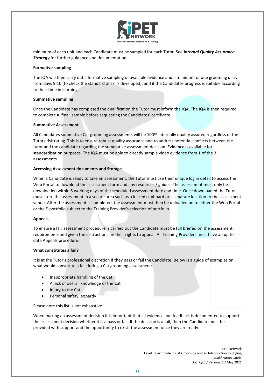

minimum of each unit and each Candidate must be sampled for each Tutor. See *Internal Quality Assurance Strategy* for further guidance and documentation.

#### **Formative sampling**

The IQA will then carry out a formative sampling of available evidence and a minimum of one grooming diary from days 5-10 (to check the standard of skills developed), and if the Candidates progress is suitable according to their time in learning.

#### **Summative sampling**

Once the Candidate has completed the qualification the Tutor must inform the IQA. The IQA is then required to complete a 'final' sample before requesting the Candidates' certificate.

#### **Summative Assessment**

All Candidates summative Cat grooming assessments will be 100% internally quality assured regardless of the Tutors risk rating. This is to ensure robust quality assurance and to address potential conflicts between the tutor and the candidate regarding the summative assessment decision. Evidence is available for standardisation purposes. The IQA must be able to directly sample video evidence from 1 of the 3 assessments.

#### **Accessing Assessment documents and Storage**

When a Candidate is ready to take an assessment, the Tutor must use their unique log in detail to access the Web Portal to download the assessment form and any resources / guides. The assessment must only be downloaded within 5 working days of the scheduled assessment date and time. Once downloaded the Tutor must store the assessment in a secure area such as a locked cupboard or a separate location to the assessment venue. After the assessment is completed, the assessment must then be uploaded on to either the Web Portal or the E-portfolio subject to the Training Provider's selection of portfolio.

#### **Appeals**

To ensure a fair assessment procedure is carried out the Candidate must be full briefed on the assessment requirements and given the instructions on their rights to appeal. All Training Providers must have an up to date Appeals procedure.

# **What constitutes a fail?**

It is at the Tutor's professional discretion if they pass or fail the Candidate. Below is a guide of examples on what would constitute a fail during a Cat grooming assessment:

- Inappropriate handling of the Cat
- A lack of overall knowledge of the Cat
- Injury to the Cat
- Personal safety jeopardy

Please note this list is not exhaustive.

When making an assessment decision it is important that all evidence and feedback is documented to support the assessment decision whether it is a pass or fail. If the decision is a fail, then the Candidate must be provided with support and the opportunity to re-sit the assessment once they are ready.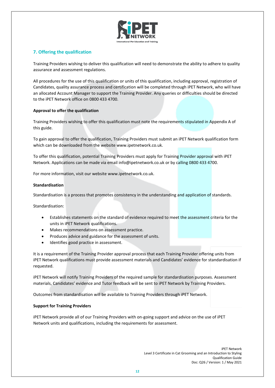

# **7. Offering the qualification**

Training Providers wishing to deliver this qualification will need to demonstrate the ability to adhere to quality assurance and assessment regulations.

All procedures for the use of this qualification or units of this qualification, including approval, registration of Candidates, quality assurance process and certification will be completed through iPET Network, who will have an allocated Account Manager to support the Training Provider. Any queries or difficulties should be directed to the iPET Network office on 0800 433 4700.

# **Approval to offer the qualification**

Training Providers wishing to offer this qualification must note the requirements stipulated in Appendix A of this guide.

To gain approval to offer the qualification, Training Providers must submit an iPET Network qualification form which can be downloaded from the website www.ipetnetwork.co.uk.

To offer this qualification, potential Training Providers must apply for Training Provider approval with iPET Network. Applications can be made via email info@ipetnetwork.co.uk or by calling 0800 433 4700.

For more information, visit our website www.ipetnetwork.co.uk.

# **Standardisation**

Standardisation is a process that promotes consistency in the understanding and application of standards.

Standardisation:

- Establishes statements on the standard of evidence required to meet the assessment criteria for the units in iPET Network qualifications.
- Makes recommendations on assessment practice.
- Produces advice and guidance for the assessment of units.
- Identifies good practice in assessment.

It is a requirement of the Training Provider approval process that each Training Provider offering units from iPET Network qualifications must provide assessment materials and Candidates' evidence for standardisation if requested.

iPET Network will notify Training Providers of the required sample for standardisation purposes. Assessment materials, Candidates' evidence and Tutor feedback will be sent to iPET Network by Training Providers.

Outcomes from standardisation will be available to Training Providers through iPET Network.

# **Support for Training Providers**

iPET Network provide all of our Training Providers with on-going support and advice on the use of iPET Network units and qualifications, including the requirements for assessment.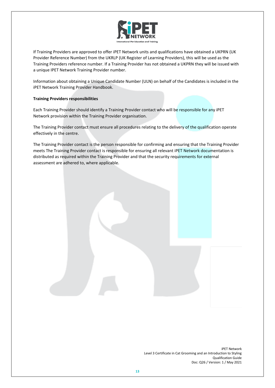

If Training Providers are approved to offer iPET Network units and qualifications have obtained a UKPRN (UK Provider Reference Number) from the UKRLP (UK Register of Learning Providers), this will be used as the Training Providers reference number. If a Training Provider has not obtained a UKPRN they will be issued with a unique IPET Network Training Provider number.

Information about obtaining a Unique Candidate Number (ULN) on behalf of the Candidates is included in the iPET Network Training Provider Handbook.

# **Training Providers responsibilities**

Each Training Provider should identify a Training Provider contact who will be responsible for any iPET Network provision within the Training Provider organisation.

The Training Provider contact must ensure all procedures relating to the delivery of the qualification operate effectively in the centre.

The Training Provider contact is the person responsible for confirming and ensuring that the Training Provider meets The Training Provider contact is responsible for ensuring all relevant iPET Network documentation is distributed as required within the Training Provider and that the security requirements for external assessment are adhered to, where applicable.

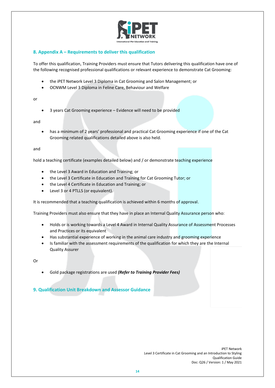

# **8. Appendix A – Requirements to deliver this qualification**

To offer this qualification, Training Providers must ensure that Tutors delivering this qualification have one of the following recognised professional qualifications or relevant experience to demonstrate Cat Grooming:

- the iPET Network Level 3 Diploma in Cat Grooming and Salon Management; or
- OCNWM Level 3 Diploma in Feline Care, Behaviour and Welfare

or

• 3 years Cat Grooming experience – Evidence will need to be provided

and

• has a minimum of 2 years' professional and practical Cat Grooming experience if one of the Cat Grooming related qualifications detailed above is also held.

and

hold a teaching certificate (examples detailed below) and / or demonstrate teaching experience

- the Level 3 Award in Education and Training; or
- the Level 3 Certificate in Education and Training for Cat Grooming Tutor; or
- the Level 4 Certificate in Education and Training; or
- Level 3 or 4 PTLLS (or equivalent).

It is recommended that a teaching qualification is achieved within 6 months of approval.

Training Providers must also ensure that they have in place an Internal Quality Assurance person who:

- Holds or is working towards a Level 4 Award in Internal Quality Assurance of Assessment Processes and Practices or its equivalent
- Has substantial experience of working in the animal care industry and grooming experience
- Is familiar with the assessment requirements of the qualification for which they are the Internal Quality Assurer

Or

• Gold package registrations are used *(Refer to Training Provider Fees)*

**9. Qualification Unit Breakdown and Assessor Guidance**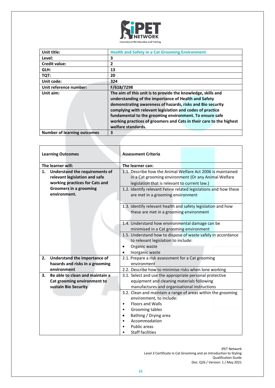

| Unit title:                        | <b>Health and Safety in a Cat Grooming Environment</b>                                                                                                                                                                                                                                                                                                                                                  |
|------------------------------------|---------------------------------------------------------------------------------------------------------------------------------------------------------------------------------------------------------------------------------------------------------------------------------------------------------------------------------------------------------------------------------------------------------|
| Level:                             | 3                                                                                                                                                                                                                                                                                                                                                                                                       |
| <b>Credit value:</b>               | $\overline{2}$                                                                                                                                                                                                                                                                                                                                                                                          |
| GLH:                               | 13                                                                                                                                                                                                                                                                                                                                                                                                      |
| TQT:                               | 20                                                                                                                                                                                                                                                                                                                                                                                                      |
| Unit code:                         | 324                                                                                                                                                                                                                                                                                                                                                                                                     |
| Unit reference number:             | F/618/7298                                                                                                                                                                                                                                                                                                                                                                                              |
| Unit aim:                          | The aim of this unit is to provide the knowledge, skills and<br>understanding of the importance of Health and Safety<br>demonstrating awareness of hazards, risks and Bio security<br>complying with relevant legislation and codes of practice<br>fundamental to the grooming environment. To ensure safe<br>working practices of groomers and Cats in their care to the highest<br>welfare standards. |
| <b>Number of learning outcomes</b> | 3                                                                                                                                                                                                                                                                                                                                                                                                       |

| <b>Learning Outcomes</b>              |  | <b>Assessment Criteria</b>                                       |  |  |
|---------------------------------------|--|------------------------------------------------------------------|--|--|
|                                       |  |                                                                  |  |  |
| The learner will:                     |  | The learner can:                                                 |  |  |
| 1.<br>Understand the requirements of  |  | 1.1. Describe how the Animal Welfare Act 2006 is maintained      |  |  |
| relevant legislation and safe         |  | in a Cat grooming environment (Or any Animal Welfare             |  |  |
| working practices for Cats and        |  | legislation that is relevant to current law.)                    |  |  |
| Groomers in a grooming                |  | 1.2. Identify relevant Feline related legislations and how these |  |  |
| environment.                          |  | are met in a grooming environment                                |  |  |
|                                       |  | 1.3. Identify relevant health and safety legislation and how     |  |  |
|                                       |  | these are met in a grooming environment                          |  |  |
|                                       |  | 1.4. Understand how environmental damage can be                  |  |  |
|                                       |  | minimised in a Cat grooming environment                          |  |  |
|                                       |  | 1.5. Understand how to dispose of waste safely in accordance     |  |  |
|                                       |  | to relevant legislation to include:                              |  |  |
|                                       |  | Organic waste                                                    |  |  |
|                                       |  | Inorganic waste                                                  |  |  |
| Understand the importance of<br>2.    |  | 2.1. Prepare a risk assessment for a Cat grooming                |  |  |
| hazards and risks in a grooming       |  | environment                                                      |  |  |
| environment                           |  | 2.2. Describe how to minimise risks when lone working            |  |  |
| Be able to clean and maintain a<br>3. |  | 3.1. Select and use the appropriate personal protective          |  |  |
| Cat grooming environment to           |  | equipment and cleaning materials following                       |  |  |
| sustain Bio Security                  |  | manufactures and organisational instructions                     |  |  |
|                                       |  | 3.2. Clean and maintain a range of areas within the grooming     |  |  |
|                                       |  | environment, to include:                                         |  |  |
|                                       |  | Floors and Walls<br>$\bullet$                                    |  |  |
|                                       |  | Grooming tables<br>٠                                             |  |  |
|                                       |  | Bathing / Drying area<br>Accommodation                           |  |  |
|                                       |  | Public areas                                                     |  |  |
|                                       |  | <b>Staff facilities</b>                                          |  |  |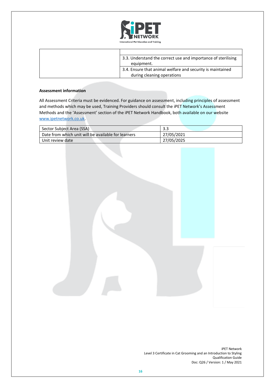

| 3.3. Understand the correct use and importance of sterilising |
|---------------------------------------------------------------|
| equipment.                                                    |
| 3.4. Ensure that animal welfare and security is maintained    |
| during cleaning operations                                    |

| Sector Subject Area (SSA)                           | 3.3        |
|-----------------------------------------------------|------------|
| Date from which unit will be available for learners | 27/05/2021 |
| Unit review date                                    | 27/05/2025 |

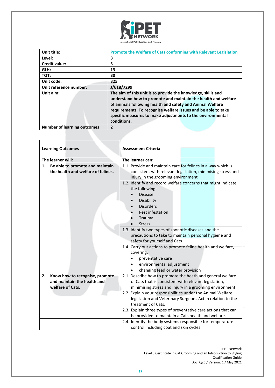

| Unit title:                        | <b>Promote the Welfare of Cats conforming with Relevant Legislation</b>                                                                                                                                                                                                                                                                  |  |
|------------------------------------|------------------------------------------------------------------------------------------------------------------------------------------------------------------------------------------------------------------------------------------------------------------------------------------------------------------------------------------|--|
| Level:                             | 3                                                                                                                                                                                                                                                                                                                                        |  |
| <b>Credit value:</b>               | 3                                                                                                                                                                                                                                                                                                                                        |  |
| GLH:                               | 13                                                                                                                                                                                                                                                                                                                                       |  |
| TQT:                               | 30                                                                                                                                                                                                                                                                                                                                       |  |
| Unit code:                         | 325                                                                                                                                                                                                                                                                                                                                      |  |
| Unit reference number:             | J/618/7299                                                                                                                                                                                                                                                                                                                               |  |
| Unit aim:                          | The aim of this unit is to provide the knowledge, skills and<br>understand how to promote and maintain the health and welfare<br>of animals following health and safety and Animal Welfare<br>requirements. To recognise welfare issues and be able to take<br>specific measures to make adjustments to the environmental<br>conditions. |  |
| <b>Number of learning outcomes</b> | $\overline{2}$                                                                                                                                                                                                                                                                                                                           |  |

| <b>Learning Outcomes</b> |                                    | <b>Assessment Criteria</b>                                     |  |  |
|--------------------------|------------------------------------|----------------------------------------------------------------|--|--|
|                          |                                    |                                                                |  |  |
|                          | The learner will:                  | The learner can:                                               |  |  |
| 1.                       | Be able to promote and maintain    | 1.1. Provide and maintain care for felines in a way which is   |  |  |
|                          | the health and welfare of felines. | consistent with relevant legislation, minimising stress and    |  |  |
|                          |                                    | injury in the grooming environment                             |  |  |
|                          |                                    | 1.2. Identify and record welfare concerns that might indicate  |  |  |
|                          |                                    | the following:                                                 |  |  |
|                          |                                    | <b>Disease</b>                                                 |  |  |
|                          |                                    | Disability                                                     |  |  |
|                          |                                    | <b>Disorders</b>                                               |  |  |
|                          |                                    | Pest infestation                                               |  |  |
|                          |                                    | Trauma                                                         |  |  |
|                          |                                    | <b>Stress</b>                                                  |  |  |
|                          |                                    | 1.3. Identify two types of zoonotic diseases and the           |  |  |
|                          |                                    | precautions to take to maintain personal hygiene and           |  |  |
|                          |                                    | safety for yourself and Cats                                   |  |  |
|                          |                                    | 1.4. Carry out actions to promote feline health and welfare,   |  |  |
|                          |                                    | covering:                                                      |  |  |
|                          |                                    | preventative care                                              |  |  |
|                          |                                    | environmental adjustment                                       |  |  |
|                          |                                    | changing feed or water provision                               |  |  |
| 2.                       | Know how to recognise, promote     | 2.1. Describe how to promote the heath and general welfare     |  |  |
|                          | and maintain the health and        | of Cats that is consistent with relevant legislation,          |  |  |
|                          | welfare of Cats.                   | minimising stress and injury in a grooming environment         |  |  |
|                          |                                    | 2.2. Explain your responsibilities under the Animal Welfare    |  |  |
|                          |                                    | legislation and Veterinary Surgeons Act in relation to the     |  |  |
|                          |                                    | treatment of Cats.                                             |  |  |
|                          |                                    | 2.3. Explain three types of preventative care actions that can |  |  |
|                          |                                    | be provided to maintain a Cats health and welfare.             |  |  |
|                          |                                    | 2.4. Identify the body systems responsible for temperature     |  |  |
|                          |                                    | control including coat and skin cycles                         |  |  |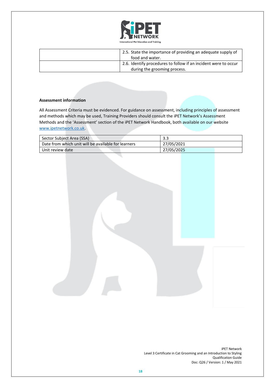

| 2.5. State the importance of providing an adequate supply of<br>food and water.                 |
|-------------------------------------------------------------------------------------------------|
| 2.6. Identify procedures to follow if an incident were to occur<br>during the grooming process. |

| Sector Subject Area (SSA)                           | 3.3        |
|-----------------------------------------------------|------------|
| Date from which unit will be available for learners | 27/05/2021 |
| Unit review date                                    | 27/05/2025 |

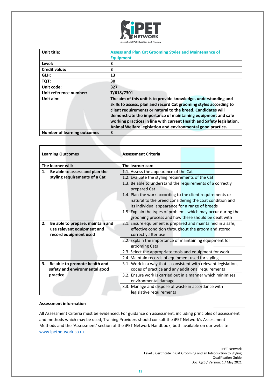

| Unit title:                        | <b>Assess and Plan Cat Grooming Styles and Maintenance of</b><br><b>Equipment</b>                                                                                                                                                                                                                                                                                                                             |
|------------------------------------|---------------------------------------------------------------------------------------------------------------------------------------------------------------------------------------------------------------------------------------------------------------------------------------------------------------------------------------------------------------------------------------------------------------|
| Level:                             | 3                                                                                                                                                                                                                                                                                                                                                                                                             |
| <b>Credit value:</b>               | 3                                                                                                                                                                                                                                                                                                                                                                                                             |
| GLH:                               | 13                                                                                                                                                                                                                                                                                                                                                                                                            |
| TQT:                               | 30                                                                                                                                                                                                                                                                                                                                                                                                            |
| Unit code:                         | 327                                                                                                                                                                                                                                                                                                                                                                                                           |
| Unit reference number:             | T/618/7301                                                                                                                                                                                                                                                                                                                                                                                                    |
| Unit aim:                          | The aim of this unit is to provide knowledge, understanding and<br>skills to assess, plan and record Cat grooming styles according to<br>client requirements or natural to the breed. Candidates will<br>demonstrate the importance of maintaining equipment and safe<br>working practices in line with current Health and Safety legislation,<br>Animal Welfare legislation and environmental good practice. |
| <b>Number of learning outcomes</b> | 3                                                                                                                                                                                                                                                                                                                                                                                                             |

|    | <b>Learning Outcomes</b>         | <b>Assessment Criteria</b>                                                 |  |  |
|----|----------------------------------|----------------------------------------------------------------------------|--|--|
|    | The learner will:                | The learner can:                                                           |  |  |
| 1. | Be able to assess and plan the   | 1.1. Assess the appearance of the Cat                                      |  |  |
|    | styling requirements of a Cat    | 1.2. Evaluate the styling requirements of the Cat                          |  |  |
|    |                                  | 1.3. Be able to understand the requirements of a correctly<br>prepared Cat |  |  |
|    |                                  | 1.4. Plan the work according to the client requirements or                 |  |  |
|    |                                  | natural to the breed considering the coat condition and                    |  |  |
|    |                                  | its individual appearance for a range of breeds                            |  |  |
|    |                                  | 1.5. Explain the types of problems which may occur during the              |  |  |
|    |                                  | grooming process and how these should be dealt with                        |  |  |
| 2. | Be able to prepare, maintain and | 2.1. Ensure equipment is prepared and maintained in a safe,                |  |  |
|    | use relevant equipment and       | effective condition throughout the groom and stored                        |  |  |
|    | record equipment used            | correctly after use                                                        |  |  |
|    |                                  | 2.2. Explain the importance of maintaining equipment for                   |  |  |
|    |                                  | grooming Cats                                                              |  |  |
|    |                                  | 2.3. Select the appropriate tools and equipment for work                   |  |  |
|    |                                  | 2.4. Maintain records of equipment used for styling                        |  |  |
| 3. | Be able to promote health and    | 3.1 Work in a way that is consistent with relevant legislation,            |  |  |
|    | safety and environmental good    | codes of practice and any additional requirements                          |  |  |
|    | practice                         | 3.2. Ensure work is carried out in a manner which minimises                |  |  |
|    |                                  | environmental damage                                                       |  |  |
|    |                                  | 3.3. Manage and dispose of waste in accordance with                        |  |  |
|    |                                  | legislative requirements                                                   |  |  |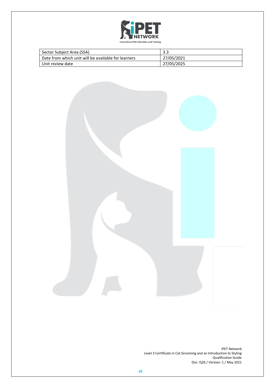

| Sector Subject Area (SSA)                           | 3.3        |
|-----------------------------------------------------|------------|
| Date from which unit will be available for learners | 27/05/2021 |
| Unit review date                                    | 27/05/2025 |

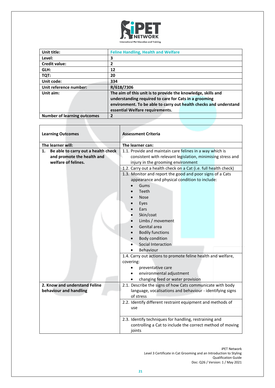

| Unit title:                        | <b>Feline Handling, Health and Welfare</b>                                                                                                                                                 |  |
|------------------------------------|--------------------------------------------------------------------------------------------------------------------------------------------------------------------------------------------|--|
| Level:                             | 3                                                                                                                                                                                          |  |
| <b>Credit value:</b>               | 2                                                                                                                                                                                          |  |
| GLH:                               | 12                                                                                                                                                                                         |  |
| TQT:                               | 20                                                                                                                                                                                         |  |
| Unit code:                         | 334                                                                                                                                                                                        |  |
| Unit reference number:             | R/618/7306                                                                                                                                                                                 |  |
| Unit aim:                          | The aim of this unit is to provide the knowledge, skills and<br>understanding required to care for Cats in a grooming<br>environment. To be able to carry out health checks and understand |  |
|                                    | essential Welfare requirements.                                                                                                                                                            |  |
| <b>Number of learning outcomes</b> | $\overline{2}$                                                                                                                                                                             |  |

| <b>Learning Outcomes</b>                  | <b>Assessment Criteria</b>                                                                                                    |
|-------------------------------------------|-------------------------------------------------------------------------------------------------------------------------------|
| The learner will:                         | The learner can:                                                                                                              |
| Be able to carry out a health check<br>1. | 1.1. Provide and maintain care felines in a way which is                                                                      |
| and promote the health and                | consistent with relevant legislation, minimising stress and                                                                   |
| welfare of felines.                       | injury in the grooming environment                                                                                            |
|                                           | 1.2. Carry out a health check on a Cat (i.e. full health check)                                                               |
|                                           | 1.3. Monitor and report the good and poor signs of a Cats                                                                     |
|                                           | appearance and physical condition to include:                                                                                 |
|                                           | Gums                                                                                                                          |
|                                           | Teeth                                                                                                                         |
|                                           | <b>Nose</b>                                                                                                                   |
|                                           | Eyes                                                                                                                          |
|                                           | Ears                                                                                                                          |
|                                           | Skin/coat                                                                                                                     |
|                                           | Limbs / movement                                                                                                              |
|                                           | Genital area                                                                                                                  |
|                                           | <b>Bodily functions</b>                                                                                                       |
|                                           | <b>Body condition</b>                                                                                                         |
|                                           | Social Interaction                                                                                                            |
|                                           | <b>Behaviour</b>                                                                                                              |
|                                           | 1.4. Carry out actions to promote feline health and welfare,<br>covering:                                                     |
|                                           | preventative care                                                                                                             |
|                                           | environmental adjustment                                                                                                      |
|                                           | changing feed or water provision                                                                                              |
| 2. Know and understand Feline             | 2.1. Describe the signs of how Cats communicate with body                                                                     |
| behaviour and handling                    | language, vocalisations and behaviour - identifying signs                                                                     |
|                                           | of stress                                                                                                                     |
|                                           | 2.2. Identify different restraint equipment and methods of<br>use                                                             |
|                                           | 2.3. Identify techniques for handling, restraining and<br>controlling a Cat to include the correct method of moving<br>joints |

٦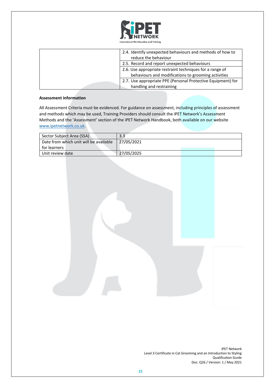

| 2.4. Identify unexpected behaviours and methods of how to<br>reduce the behaviour |
|-----------------------------------------------------------------------------------|
| 2.5. Record and report unexpected behaviours                                      |
| 2.6. Use appropriate restraint techniques for a range of                          |
| behaviours and modifications to grooming activities                               |
| 2.7. Use appropriate PPE (Personal Protective Equipment) for                      |
| handling and restraining                                                          |

| Sector Subject Area (SSA)              | 3.3        |  |
|----------------------------------------|------------|--|
| Date from which unit will be available | 27/05/2021 |  |
| for learners                           |            |  |
| Unit review date                       | 27/05/2025 |  |
|                                        |            |  |

| <b>iPET Network</b>                                                |
|--------------------------------------------------------------------|
| Level 3 Certificate in Cat Grooming and an Introduction to Styling |
| <b>Qualification Guide</b>                                         |
| Doc: Q26 / Version: 1 / May 2021                                   |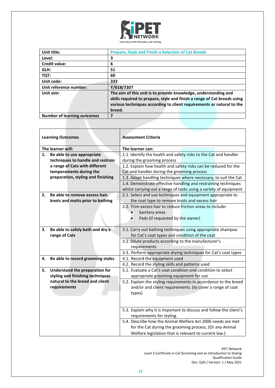

| Unit title:                        | <b>Prepare, Style and Finish a Selection of Cat Breeds</b>                                                                                                                                                                     |  |
|------------------------------------|--------------------------------------------------------------------------------------------------------------------------------------------------------------------------------------------------------------------------------|--|
| Level:                             | 3                                                                                                                                                                                                                              |  |
| <b>Credit value:</b>               | 6                                                                                                                                                                                                                              |  |
| GLH:                               | 51                                                                                                                                                                                                                             |  |
| TQT:                               | 60                                                                                                                                                                                                                             |  |
| Unit code:                         | 333                                                                                                                                                                                                                            |  |
| Unit reference number:             | Y/618/7307                                                                                                                                                                                                                     |  |
| Unit aim:                          | The aim of this unit is to provide knowledge, understanding and<br>skills required to prepare, style and finish a range of Cat breeds using<br>various techniques according to client requirements or natural to the<br>breed. |  |
| <b>Number of learning outcomes</b> | 7                                                                                                                                                                                                                              |  |

| <b>Learning Outcomes</b> |                                    | <b>Assessment Criteria</b>                                                                                                                          |  |
|--------------------------|------------------------------------|-----------------------------------------------------------------------------------------------------------------------------------------------------|--|
| The learner will:        |                                    | The learner can:                                                                                                                                    |  |
| 1.                       | Be able to use appropriate         | 1.1. Identify the health and safety risks to the Cat and handler                                                                                    |  |
|                          | techniques to handle and restrain  | during the grooming process                                                                                                                         |  |
|                          | a range of Cats with different     | 1.2. Explain how health and safety risks can be reduced for the                                                                                     |  |
|                          | temperaments during the            | Cat and handler during the grooming process                                                                                                         |  |
|                          | preparation, styling and finishing | 1.3. Adapt handling techniques where necessary, to suit the Cat                                                                                     |  |
|                          |                                    | 1.4. Demonstrate effective handling and restraining techniques                                                                                      |  |
|                          |                                    | whilst carrying out a range of tasks using a variety of equipment                                                                                   |  |
| 2.                       | Be able to remove excess hair,     | 2.1. Select and use techniques and equipment appropriate to                                                                                         |  |
|                          | knots and matts prior to bathing   | the coat type to remove knots and excess hair                                                                                                       |  |
|                          |                                    | 2.2. Trim excess hair to reduce friction areas to include:                                                                                          |  |
|                          |                                    | Sanitary areas                                                                                                                                      |  |
|                          |                                    | Pads (if requested by the owner)                                                                                                                    |  |
|                          |                                    |                                                                                                                                                     |  |
| З.                       | Be able to safely bath and dry a   | 3.1. Carry out bathing techniques using appropriate shampoo                                                                                         |  |
|                          | range of Cats                      | for Cat's coat types and condition of the coat                                                                                                      |  |
|                          |                                    | 3.2. Dilute products according to the manufacturer's                                                                                                |  |
|                          |                                    | requirements                                                                                                                                        |  |
|                          |                                    | 3.3. Perform appropriate drying techniques for Cat's coat types                                                                                     |  |
| 4.                       | Be able to record grooming styles  | 4.1. Record the equipment used                                                                                                                      |  |
|                          |                                    | 4.2. Record the styling skills and patterns used                                                                                                    |  |
| 5.                       | Understand the preparation for     | 5.1. Evaluate a Cat's coat condition and condition to select                                                                                        |  |
|                          | styling and finishing techniques   | appropriate grooming equipment for use                                                                                                              |  |
|                          | natural to the breed and client    | 5.2. Explain the styling requirements in accordance to the breed                                                                                    |  |
|                          | requirements                       | and/or and client requirements. (to cover a range of coat                                                                                           |  |
|                          |                                    | types)                                                                                                                                              |  |
|                          |                                    |                                                                                                                                                     |  |
|                          |                                    | 5.3. Explain why it is important to discuss and follow the client's                                                                                 |  |
|                          |                                    |                                                                                                                                                     |  |
|                          |                                    |                                                                                                                                                     |  |
|                          |                                    |                                                                                                                                                     |  |
|                          |                                    |                                                                                                                                                     |  |
|                          |                                    | requirements for styling.<br>5.4. Describe how the Animal Welfare Act 2006 needs are met<br>for the Cat during the grooming process, (Or any Animal |  |
|                          |                                    | Welfare legislation that is relevant to current law.)                                                                                               |  |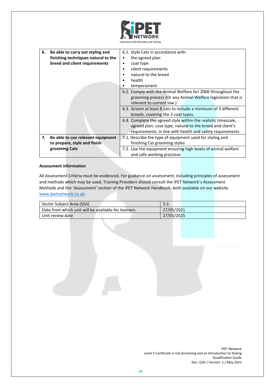

| 6. | Be able to carry out styling and    | 6.1. Style Cats in accordance with:                            |  |
|----|-------------------------------------|----------------------------------------------------------------|--|
|    | finishing techniques natural to the | the agreed plan<br>$\bullet$                                   |  |
|    | breed and client requirements       | coat type<br>٠                                                 |  |
|    |                                     | client requirements<br>٠                                       |  |
|    |                                     | natural to the breed<br>$\bullet$                              |  |
|    |                                     | health<br>$\bullet$                                            |  |
|    |                                     | temperament                                                    |  |
|    |                                     | 6.2. Comply with the Animal Welfare Act 2006 throughout the    |  |
|    |                                     | grooming process (Or any Animal Welfare legislation that is    |  |
|    |                                     | relevant to current law.)                                      |  |
|    |                                     | 6.3. Groom at least 8 cats to include a minimum of 3 different |  |
|    |                                     | breeds, covering the 3 coat types.                             |  |
|    |                                     | 6.4. Complete the agreed style within the realistic timescale, |  |
|    |                                     | agreed plan, coat type, natural to the breed and client's      |  |
|    |                                     | requirements, in line with health and safety requirements      |  |
| 7. | Be able to use relevant equipment   | 7.1. Describe the type of equipment used for styling and       |  |
|    | to prepare, style and finish        | finishing Cat grooming styles                                  |  |
|    | grooming Cats                       | 7.2. Use the equipment ensuring high levels of animal welfare  |  |
|    |                                     | and safe working practices                                     |  |

| Sector Subject Area (SSA)                           | 3.3        |
|-----------------------------------------------------|------------|
| Date from which unit will be available for learners | 27/05/2021 |
| Unit review date                                    | 27/05/2025 |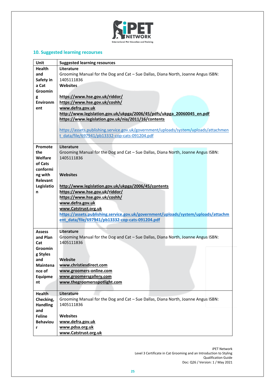

# **10. Suggested learning recourses**

| Unit                 | <b>Suggested learning resources</b>                                                  |  |  |
|----------------------|--------------------------------------------------------------------------------------|--|--|
| <b>Health</b>        | Literature                                                                           |  |  |
| and                  | Grooming Manual for the Dog and Cat - Sue Dallas, Diana North, Joanne Angus ISBN:    |  |  |
| Safety in            | 1405111836                                                                           |  |  |
| a Cat                | <b>Websites</b>                                                                      |  |  |
| Groomin              |                                                                                      |  |  |
| g                    | https://www.hse.gov.uk/riddor/                                                       |  |  |
| <b>Environm</b>      | https://www.hse.gov.uk/coshh/                                                        |  |  |
| ent                  | www.defra.gov.uk                                                                     |  |  |
|                      | http://www.legislation.gov.uk/ukpga/2006/45/pdfs/ukpga 20060045 en.pdf               |  |  |
|                      | https://www.legislation.gov.uk/nia/2011/16/contents                                  |  |  |
|                      |                                                                                      |  |  |
|                      | https://assets.publishing.service.gov.uk/government/uploads/system/uploads/attachmen |  |  |
|                      | t data/file/697941/pb13332-cop-cats-091204.pdf                                       |  |  |
|                      |                                                                                      |  |  |
| Promote              | Literature                                                                           |  |  |
| the                  | Grooming Manual for the Dog and Cat - Sue Dallas, Diana North, Joanne Angus ISBN:    |  |  |
| Welfare              | 1405111836                                                                           |  |  |
| of Cats              |                                                                                      |  |  |
| conformi             |                                                                                      |  |  |
| ng with              | <b>Websites</b>                                                                      |  |  |
| <b>Relevant</b>      |                                                                                      |  |  |
| Legislatio           | http://www.legislation.gov.uk/ukpga/2006/45/contents                                 |  |  |
| n                    | https://www.hse.gov.uk/riddor/                                                       |  |  |
|                      | https://www.hse.gov.uk/coshh/                                                        |  |  |
|                      | www.defra.gov.uk                                                                     |  |  |
|                      | www.Catstrust.org.uk                                                                 |  |  |
|                      | https://assets.publishing.service.gov.uk/government/uploads/system/uploads/attachm   |  |  |
|                      | ent_data/file/697941/pb13332-cop-cats-091204.pdf                                     |  |  |
|                      |                                                                                      |  |  |
| <b>Assess</b>        | Literature                                                                           |  |  |
| and Plan             | Grooming Manual for the Dog and Cat - Sue Dallas, Diana North, Joanne Angus ISBN:    |  |  |
| Cat                  | 1405111836                                                                           |  |  |
| <b>Groomin</b>       |                                                                                      |  |  |
| g Styles             |                                                                                      |  |  |
| and                  | Website                                                                              |  |  |
| Maintena             | www.christiesdirect.com                                                              |  |  |
| nce of               | www.groomers-online.com                                                              |  |  |
| Equipme              | www.groomersgallery.com                                                              |  |  |
| nt                   | www.thegroomersspotlight.com                                                         |  |  |
|                      |                                                                                      |  |  |
| Health               | Literature                                                                           |  |  |
| Checking,            | Grooming Manual for the Dog and Cat - Sue Dallas, Diana North, Joanne Angus ISBN:    |  |  |
| <b>Handling</b>      | 1405111836                                                                           |  |  |
| and<br><b>Feline</b> | <b>Websites</b>                                                                      |  |  |
| <b>Behaviou</b>      | www.defra.gov.uk                                                                     |  |  |
| r                    | www.pdsa.org.uk                                                                      |  |  |
|                      | www.Catstrust.org.uk                                                                 |  |  |
|                      |                                                                                      |  |  |